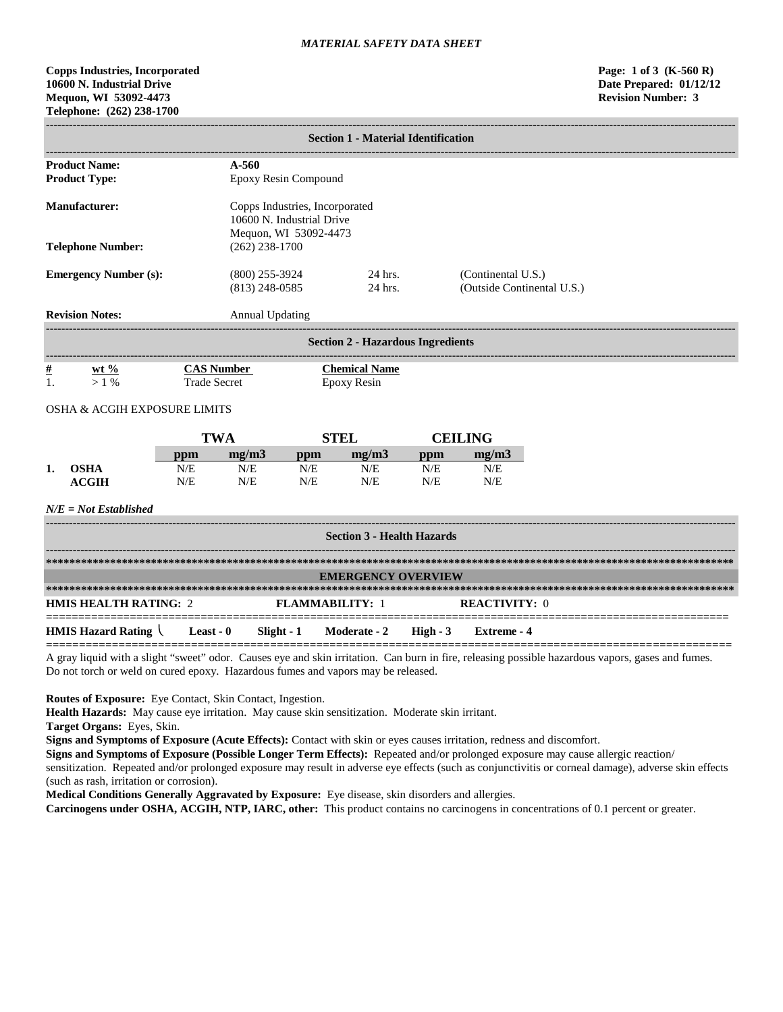# **Copps Industries, Incorporated Page: 1 of 3 (K-560 R) 10600 N. Industrial Drive Date Prepared: 01/12/12 Mequon, WI 53092-4473 Revision Number: 3 Telephone: (262) 238-1700**

|                                              | <b>Section 1 - Material Identification</b>                 |                                          |                                                                                      |                        |                                            |            |                                                  |                                                                                                                                                  |  |
|----------------------------------------------|------------------------------------------------------------|------------------------------------------|--------------------------------------------------------------------------------------|------------------------|--------------------------------------------|------------|--------------------------------------------------|--------------------------------------------------------------------------------------------------------------------------------------------------|--|
| <b>Product Name:</b><br><b>Product Type:</b> |                                                            |                                          | $A - 560$<br>Epoxy Resin Compound                                                    |                        |                                            |            |                                                  |                                                                                                                                                  |  |
| <b>Manufacturer:</b>                         |                                                            |                                          | Copps Industries, Incorporated<br>10600 N. Industrial Drive<br>Mequon, WI 53092-4473 |                        |                                            |            |                                                  |                                                                                                                                                  |  |
|                                              | <b>Telephone Number:</b>                                   |                                          | $(262)$ 238-1700                                                                     |                        |                                            |            |                                                  |                                                                                                                                                  |  |
|                                              | <b>Emergency Number (s):</b>                               |                                          | $(800)$ 255-3924<br>$(813)$ 248-0585                                                 |                        | 24 hrs.<br>$24$ hrs.                       |            | (Continental U.S.)<br>(Outside Continental U.S.) |                                                                                                                                                  |  |
|                                              | <b>Revision Notes:</b>                                     |                                          | Annual Updating                                                                      |                        |                                            |            |                                                  |                                                                                                                                                  |  |
|                                              |                                                            |                                          |                                                                                      |                        | <b>Section 2 - Hazardous Ingredients</b>   |            |                                                  |                                                                                                                                                  |  |
| $\frac{\mu}{2}$<br>1.                        | wt $\%$<br>$>1\%$                                          | <b>CAS Number</b><br><b>Trade Secret</b> |                                                                                      |                        | <b>Chemical Name</b><br><b>Epoxy Resin</b> |            |                                                  |                                                                                                                                                  |  |
|                                              | OSHA & ACGIH EXPOSURE LIMITS                               |                                          |                                                                                      |                        |                                            |            |                                                  |                                                                                                                                                  |  |
|                                              |                                                            | <b>TWA</b>                               |                                                                                      |                        | <b>STEL</b>                                |            | <b>CEILING</b>                                   |                                                                                                                                                  |  |
|                                              |                                                            | ppm                                      | mg/m3                                                                                | ppm                    | mg/m3                                      | ppm        | mg/m3                                            |                                                                                                                                                  |  |
| 1.                                           | <b>OSHA</b><br><b>ACGIH</b>                                | N/E<br>N/E                               | N/E<br>N/E                                                                           | N/E<br>N/E             | N/E<br>N/E                                 | N/E<br>N/E | N/E<br>N/E                                       |                                                                                                                                                  |  |
|                                              | $N/E = Not$ Established                                    |                                          |                                                                                      |                        |                                            |            |                                                  |                                                                                                                                                  |  |
|                                              |                                                            |                                          |                                                                                      |                        | <b>Section 3 - Health Hazards</b>          |            |                                                  |                                                                                                                                                  |  |
|                                              |                                                            |                                          |                                                                                      |                        |                                            |            |                                                  |                                                                                                                                                  |  |
|                                              |                                                            |                                          |                                                                                      |                        | <b>EMERGENCY OVERVIEW</b>                  |            |                                                  |                                                                                                                                                  |  |
|                                              | <b>HMIS HEALTH RATING: 2</b>                               |                                          |                                                                                      | <b>FLAMMABILITY: 1</b> |                                            |            | <b>REACTIVITY: 0</b>                             |                                                                                                                                                  |  |
|                                              | <b>HMIS Hazard Rating <math>\setminus</math> Least - 0</b> |                                          |                                                                                      | $Slight - 1$           | Moderate - 2                               | $High - 3$ | <b>Extreme</b> - 4                               |                                                                                                                                                  |  |
|                                              |                                                            |                                          |                                                                                      |                        |                                            |            |                                                  | grove liquid with a glight "gwaat" ador. Causes ave and gkin irritation. Can burn in fire, releasing negatible begardens vanors, geese and fumes |  |

A gray liquid with a slight "sweet" odor. Causes eye and skin irritation. Can burn in fire, releasing possible hazardous vapors, gases and fumes. Do not torch or weld on cured epoxy. Hazardous fumes and vapors may be released.

**Routes of Exposure:** Eye Contact, Skin Contact, Ingestion.

**Health Hazards:** May cause eye irritation. May cause skin sensitization. Moderate skin irritant.

**Target Organs:** Eyes, Skin.

**Signs and Symptoms of Exposure (Acute Effects):** Contact with skin or eyes causes irritation, redness and discomfort.

**Signs and Symptoms of Exposure (Possible Longer Term Effects):** Repeated and/or prolonged exposure may cause allergic reaction/ sensitization. Repeated and/or prolonged exposure may result in adverse eye effects (such as conjunctivitis or corneal damage), adverse skin effects (such as rash, irritation or corrosion).

**Medical Conditions Generally Aggravated by Exposure:** Eye disease, skin disorders and allergies.

**Carcinogens under OSHA, ACGIH, NTP, IARC, other:** This product contains no carcinogens in concentrations of 0.1 percent or greater.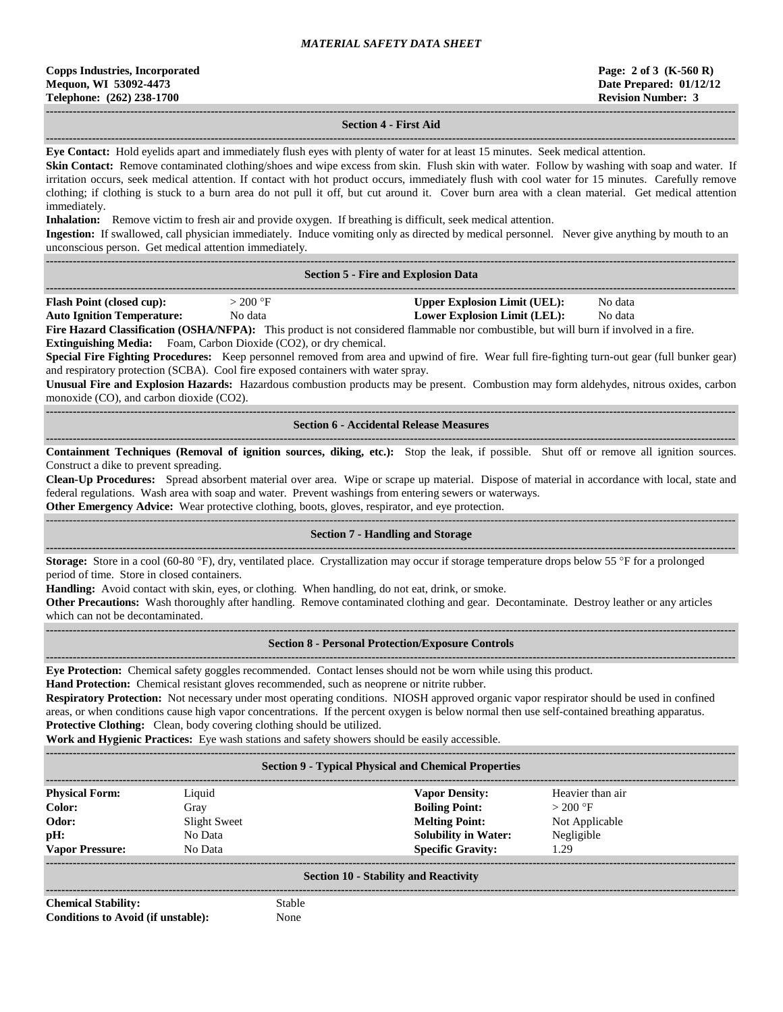#### **------------------------------------------------------------------------------------------------------------------------------------------------------------------------------------ Section 4 - First Aid**

**------------------------------------------------------------------------------------------------------------------------------------------------------------------------------------ Eye Contact:** Hold eyelids apart and immediately flush eyes with plenty of water for at least 15 minutes. Seek medical attention.

**Skin Contact:** Remove contaminated clothing/shoes and wipe excess from skin. Flush skin with water. Follow by washing with soap and water. If irritation occurs, seek medical attention. If contact with hot product occurs, immediately flush with cool water for 15 minutes. Carefully remove clothing; if clothing is stuck to a burn area do not pull it off, but cut around it. Cover burn area with a clean material. Get medical attention immediately.

**Inhalation:** Remove victim to fresh air and provide oxygen. If breathing is difficult, seek medical attention.

**Ingestion:** If swallowed, call physician immediately. Induce vomiting only as directed by medical personnel. Never give anything by mouth to an unconscious person. Get medical attention immediately.

**------------------------------------------------------------------------------------------------------------------------------------------------------------------------------------**

|  |  | <b>Section 5 - Fire and Explosion Data</b> |  |
|--|--|--------------------------------------------|--|
|  |  |                                            |  |

| <b>Flash Point (closed cup):</b>  | $200 \text{ °F}$ |   | Upper Explosion Limit (UEL):        | No data |    |
|-----------------------------------|------------------|---|-------------------------------------|---------|----|
| <b>Auto Ignition Temperature:</b> | No data          |   | <b>Lower Explosion Limit (LEL):</b> | No data |    |
| _ _ _ _<br>____                   | $ -$             | . | .<br>.                              |         | -- |

**Fire Hazard Classification (OSHA/NFPA):** This product is not considered flammable nor combustible, but will burn if involved in a fire. **Extinguishing Media:** Foam, Carbon Dioxide (CO2), or dry chemical.

**Special Fire Fighting Procedures:** Keep personnel removed from area and upwind of fire. Wear full fire-fighting turn-out gear (full bunker gear) and respiratory protection (SCBA). Cool fire exposed containers with water spray.

**Unusual Fire and Explosion Hazards:** Hazardous combustion products may be present. Combustion may form aldehydes, nitrous oxides, carbon monoxide (CO), and carbon dioxide (CO2).

### **------------------------------------------------------------------------------------------------------------------------------------------------------------------------------------ Section 6 - Accidental Release Measures**

**------------------------------------------------------------------------------------------------------------------------------------------------------------------------------------ Containment Techniques (Removal of ignition sources, diking, etc.):** Stop the leak, if possible. Shut off or remove all ignition sources. Construct a dike to prevent spreading.

**Clean-Up Procedures:** Spread absorbent material over area. Wipe or scrape up material. Dispose of material in accordance with local, state and federal regulations. Wash area with soap and water. Prevent washings from entering sewers or waterways.

**Other Emergency Advice:** Wear protective clothing, boots, gloves, respirator, and eye protection.

**------------------------------------------------------------------------------------------------------------------------------------------------------------------------------------**

# ------------------------------------------------------------------------------------------------------------------------------------------------------------------------------------

# **Section 7 - Handling and Storage**

**Storage:** Store in a cool (60-80 °F), dry, ventilated place. Crystallization may occur if storage temperature drops below 55 °F for a prolonged period of time. Store in closed containers.

**Handling:** Avoid contact with skin, eyes, or clothing. When handling, do not eat, drink, or smoke.

**Other Precautions:** Wash thoroughly after handling. Remove contaminated clothing and gear. Decontaminate. Destroy leather or any articles which can not be decontaminated.

#### **Section 8 - Personal Protection/Exposure Controls**

**------------------------------------------------------------------------------------------------------------------------------------------------------------------------------------**

**Eye Protection:** Chemical safety goggles recommended. Contact lenses should not be worn while using this product.

**Hand Protection:** Chemical resistant gloves recommended, such as neoprene or nitrite rubber.

**Respiratory Protection:** Not necessary under most operating conditions. NIOSH approved organic vapor respirator should be used in confined areas, or when conditions cause high vapor concentrations. If the percent oxygen is below normal then use self-contained breathing apparatus. **Protective Clothing:** Clean, body covering clothing should be utilized.

**Work and Hygienic Practices:** Eye wash stations and safety showers should be easily accessible.

| <b>Section 9 - Typical Physical and Chemical Properties</b> |              |                             |                  |  |  |  |  |
|-------------------------------------------------------------|--------------|-----------------------------|------------------|--|--|--|--|
| <b>Physical Form:</b>                                       | Liquid       | <b>Vapor Density:</b>       | Heavier than air |  |  |  |  |
| Color:                                                      | Gray         | <b>Boiling Point:</b>       | $>200$ °F        |  |  |  |  |
| Odor:                                                       | Slight Sweet | <b>Melting Point:</b>       | Not Applicable   |  |  |  |  |
| pH:                                                         | No Data      | <b>Solubility in Water:</b> | Negligible       |  |  |  |  |
| <b>Vapor Pressure:</b>                                      | No Data      | <b>Specific Gravity:</b>    | 1.29             |  |  |  |  |
| <b>Section 10 - Stability and Reactivity</b>                |              |                             |                  |  |  |  |  |

**Chemical Stability:** Stable **Conditions to Avoid (if unstable):** None

**------------------------------------------------------------------------------------------------------------------------------------------------------------------------------------**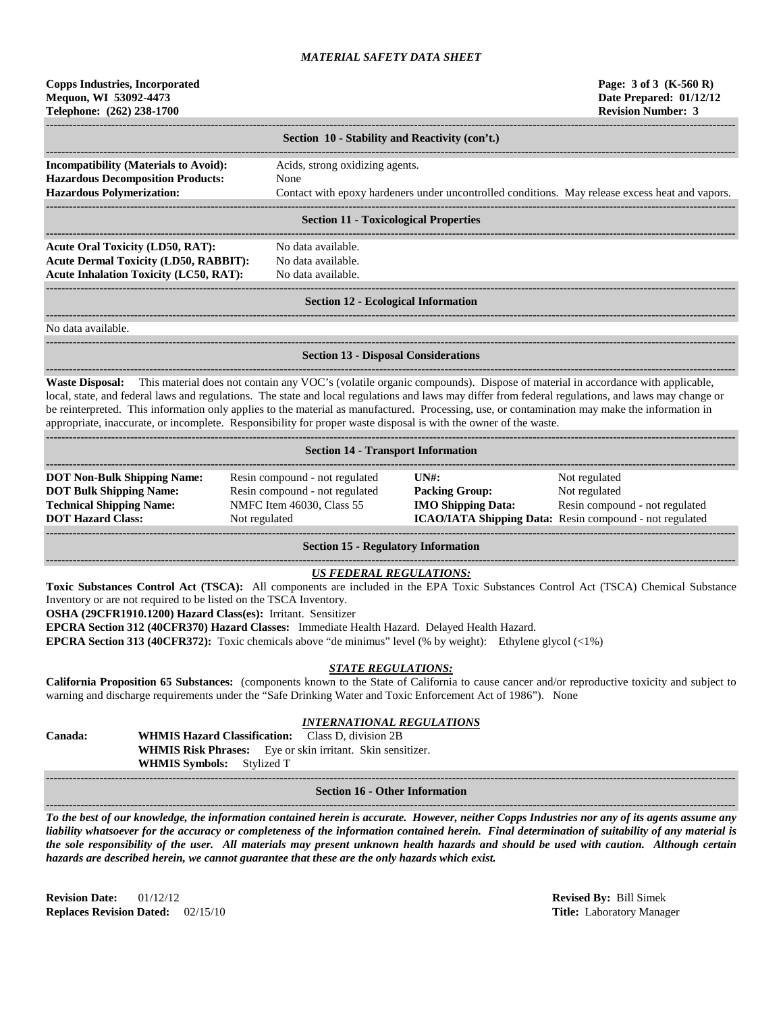| <b>Copps Industries, Incorporated</b><br>Mequon, WI 53092-4473<br>Telephone: (262) 238-1700                                       |                                                                                                                                            | Page: $3 \text{ of } 3 \text{ (K-560 R)}$<br>Date Prepared: 01/12/12<br><b>Revision Number: 3</b> |
|-----------------------------------------------------------------------------------------------------------------------------------|--------------------------------------------------------------------------------------------------------------------------------------------|---------------------------------------------------------------------------------------------------|
|                                                                                                                                   | Section 10 - Stability and Reactivity (con't.)                                                                                             |                                                                                                   |
| <b>Incompatibility (Materials to Avoid):</b><br><b>Hazardous Decomposition Products:</b><br><b>Hazardous Polymerization:</b>      | Acids, strong oxidizing agents.<br>None<br>Contact with epoxy hardeners under uncontrolled conditions. May release excess heat and vapors. |                                                                                                   |
|                                                                                                                                   | <b>Section 11 - Toxicological Properties</b>                                                                                               |                                                                                                   |
| Acute Oral Toxicity (LD50, RAT):<br><b>Acute Dermal Toxicity (LD50, RABBIT):</b><br><b>Acute Inhalation Toxicity (LC50, RAT):</b> | No data available.<br>No data available.<br>No data available.                                                                             |                                                                                                   |
|                                                                                                                                   | <b>Section 12 - Ecological Information</b>                                                                                                 |                                                                                                   |

**------------------------------------------------------------------------------------------------------------------------------------------------------------------------------------** No data available.

**------------------------------------------------------------------------------------------------------------------------------------------------------------------------------------ Section 13 - Disposal Considerations**

**------------------------------------------------------------------------------------------------------------------------------------------------------------------------------------ Waste Disposal:** This material does not contain any VOC's (volatile organic compounds). Dispose of material in accordance with applicable, local, state, and federal laws and regulations. The state and local regulations and laws may differ from federal regulations, and laws may change or be reinterpreted. This information only applies to the material as manufactured. Processing, use, or contamination may make the information in appropriate, inaccurate, or incomplete. Responsibility for proper waste disposal is with the owner of the waste.

| <b>Section 14 - Transport Information</b>                                                                                           |                                                                                                                |                                                                                     |                                                                                                                                    |  |  |  |  |
|-------------------------------------------------------------------------------------------------------------------------------------|----------------------------------------------------------------------------------------------------------------|-------------------------------------------------------------------------------------|------------------------------------------------------------------------------------------------------------------------------------|--|--|--|--|
| <b>DOT Non-Bulk Shipping Name:</b><br><b>DOT Bulk Shipping Name:</b><br><b>Technical Shipping Name:</b><br><b>DOT Hazard Class:</b> | Resin compound - not regulated<br>Resin compound - not regulated<br>NMFC Item 46030, Class 55<br>Not regulated | $\overline{I} \overline{N}$ :<br><b>Packing Group:</b><br><b>IMO Shipping Data:</b> | Not regulated<br>Not regulated<br>Resin compound - not regulated<br><b>ICAO/IATA Shipping Data:</b> Resin compound - not regulated |  |  |  |  |

**Section 15 - Regulatory Information**

## *US FEDERAL REGULATIONS:*

**------------------------------------------------------------------------------------------------------------------------------------------------------------------------------------**

**------------------------------------------------------------------------------------------------------------------------------------------------------------------------------------**

**Toxic Substances Control Act (TSCA):** All components are included in the EPA Toxic Substances Control Act (TSCA) Chemical Substance Inventory or are not required to be listed on the TSCA Inventory.

**OSHA (29CFR1910.1200) Hazard Class(es):** Irritant. Sensitizer

**EPCRA Section 312 (40CFR370) Hazard Classes:** Immediate Health Hazard. Delayed Health Hazard.

**EPCRA Section 313 (40CFR372):** Toxic chemicals above "de minimus" level (% by weight): Ethylene glycol (<1%)

#### *STATE REGULATIONS:*

**California Proposition 65 Substances:** (components known to the State of California to cause cancer and/or reproductive toxicity and subject to warning and discharge requirements under the "Safe Drinking Water and Toxic Enforcement Act of 1986"). None

# *INTERNATIONAL REGULATIONS*

**Canada: WHMIS Hazard Classification:** Class D, division 2B **WHMIS Risk Phrases:** Eye or skin irritant. Skin sensitizer. **WHMIS Symbols:** Stylized T

#### **------------------------------------------------------------------------------------------------------------------------------------------------------------------------------------ Section 16 - Other Information**

*To the best of our knowledge, the information contained herein is accurate. However, neither Copps Industries nor any of its agents assume any liability whatsoever for the accuracy or completeness of the information contained herein. Final determination of suitability of any material is the sole responsibility of the user. All materials may present unknown health hazards and should be used with caution. Although certain hazards are described herein, we cannot guarantee that these are the only hazards which exist.*

**Revision Date:** 01/12/12 **Revised By:** Bill Simek **Replaces Revision Dated:** 02/15/10 **Title:** Laboratory Manager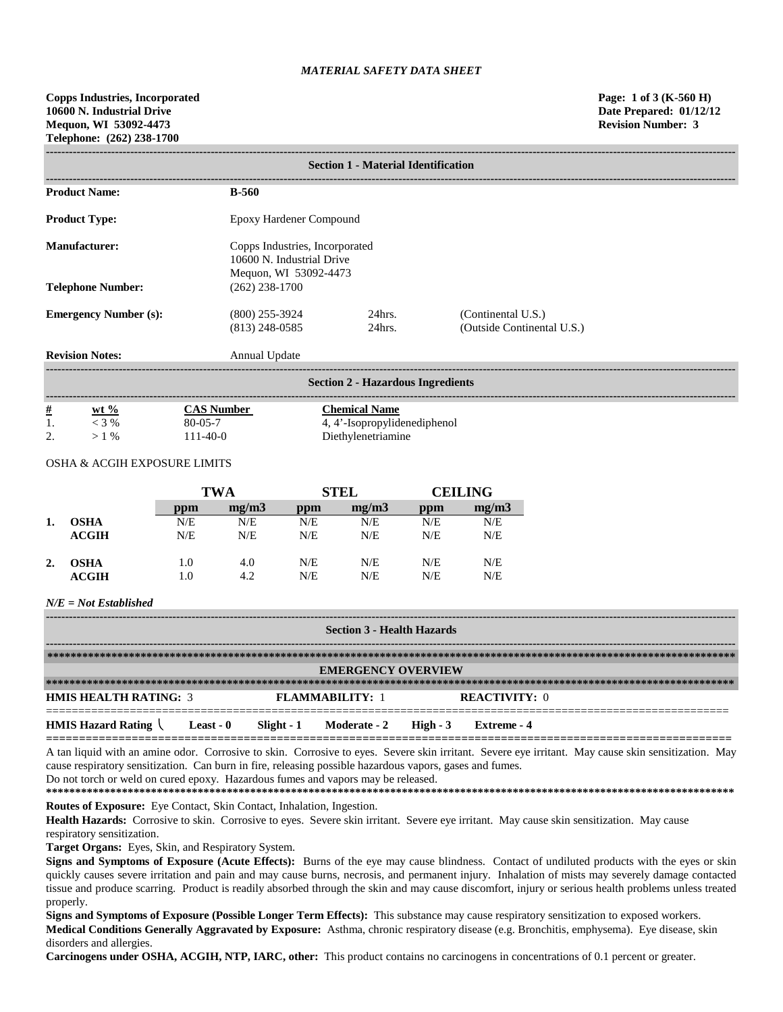|                              | <b>Section 1 - Material Identification</b>                                           |                         |                                                  |  |  |  |  |
|------------------------------|--------------------------------------------------------------------------------------|-------------------------|--------------------------------------------------|--|--|--|--|
| <b>Product Name:</b>         | <b>B-560</b>                                                                         |                         |                                                  |  |  |  |  |
| <b>Product Type:</b>         |                                                                                      | Epoxy Hardener Compound |                                                  |  |  |  |  |
| <b>Manufacturer:</b>         | Copps Industries, Incorporated<br>10600 N. Industrial Drive<br>Mequon, WI 53092-4473 |                         |                                                  |  |  |  |  |
| <b>Telephone Number:</b>     | $(262)$ 238-1700                                                                     |                         |                                                  |  |  |  |  |
| <b>Emergency Number (s):</b> | $(800)$ 255-3924<br>$(813)$ 248-0585                                                 | $24$ hrs.<br>$24hrs$ .  | (Continental U.S.)<br>(Outside Continental U.S.) |  |  |  |  |
| <b>Revision Notes:</b>       | Annual Update                                                                        |                         |                                                  |  |  |  |  |

|          | <b>Section 2 - Hazardous Ingredients</b> |                |                              |  |  |  |  |  |
|----------|------------------------------------------|----------------|------------------------------|--|--|--|--|--|
| #        | $wt %$                                   | CAS Number     | Chemical Name                |  |  |  |  |  |
|          | $<$ 3 %                                  | $80 - 05 - 7$  | 4, 4'-Isopropylidenediphenol |  |  |  |  |  |
| <u>.</u> | $> 1$ %                                  | $111 - 40 - 0$ | Diethylenetriamine           |  |  |  |  |  |

### OSHA & ACGIH EXPOSURE LIMITS

|                  |              | TWA |       | <b>STEL</b> |       | <b>CEILING</b> |       |
|------------------|--------------|-----|-------|-------------|-------|----------------|-------|
|                  |              | ppm | mg/m3 | ppm         | mg/m3 | ppm            | mg/m3 |
|                  | <b>OSHA</b>  | N/E | N/E   | N/E         | N/E   | N/E            | N/E   |
|                  | ACGIH        | N/E | N/E   | N/E         | N/E   | N/E            | N/E   |
| $\overline{2}$ . | OSHA         | 1.0 | 4.0   | N/E         | N/E   | N/E            | N/E   |
|                  | <b>ACGIH</b> | 1.0 | 4.2   | N/E         | N/E   | N/E            | N/E   |

# *N/E = Not Established*

| <b>Section 3 - Health Hazards</b> |                           |  |                                  |  |                      |  |  |
|-----------------------------------|---------------------------|--|----------------------------------|--|----------------------|--|--|
|                                   |                           |  |                                  |  |                      |  |  |
|                                   | <b>EMERGENCY OVERVIEW</b> |  |                                  |  |                      |  |  |
|                                   |                           |  |                                  |  |                      |  |  |
| <b>HMIS HEALTH RATING: 3</b>      |                           |  | <b>FLAMMABILITY: 1</b>           |  | <b>REACTIVITY: 0</b> |  |  |
| <b>HMIS Hazard Rating</b>         | Least - 0                 |  | Slight - 1 Moderate - 2 High - 3 |  | Extreme - 4          |  |  |

A tan liquid with an amine odor. Corrosive to skin. Corrosive to eyes. Severe skin irritant. Severe eye irritant. May cause skin sensitization. May cause respiratory sensitization. Can burn in fire, releasing possible hazardous vapors, gases and fumes. Do not torch or weld on cured epoxy. Hazardous fumes and vapors may be released.

**\*\*\*\*\*\*\*\*\*\*\*\*\*\*\*\*\*\*\*\*\*\*\*\*\*\*\*\*\*\*\*\*\*\*\*\*\*\*\*\*\*\*\*\*\*\*\*\*\*\*\*\*\*\*\*\*\*\*\*\*\*\*\*\*\*\*\*\*\*\*\*\*\*\*\*\*\*\*\*\*\*\*\*\*\*\*\*\*\*\*\*\*\*\*\*\*\*\*\*\*\*\*\*\*\*\*\*\*\*\*\*\*\*\*\*\*\*\***

**Routes of Exposure:** Eye Contact, Skin Contact, Inhalation, Ingestion.

Health Hazards: Corrosive to skin. Corrosive to eyes. Severe skin irritant. Severe eye irritant. May cause skin sensitization. May cause respiratory sensitization.

**Target Organs:** Eyes, Skin, and Respiratory System.

**Signs and Symptoms of Exposure (Acute Effects):** Burns of the eye may cause blindness. Contact of undiluted products with the eyes or skin quickly causes severe irritation and pain and may cause burns, necrosis, and permanent injury. Inhalation of mists may severely damage contacted tissue and produce scarring. Product is readily absorbed through the skin and may cause discomfort, injury or serious health problems unless treated properly.

**Signs and Symptoms of Exposure (Possible Longer Term Effects):** This substance may cause respiratory sensitization to exposed workers. **Medical Conditions Generally Aggravated by Exposure:** Asthma, chronic respiratory disease (e.g. Bronchitis, emphysema). Eye disease, skin disorders and allergies.

**Carcinogens under OSHA, ACGIH, NTP, IARC, other:** This product contains no carcinogens in concentrations of 0.1 percent or greater.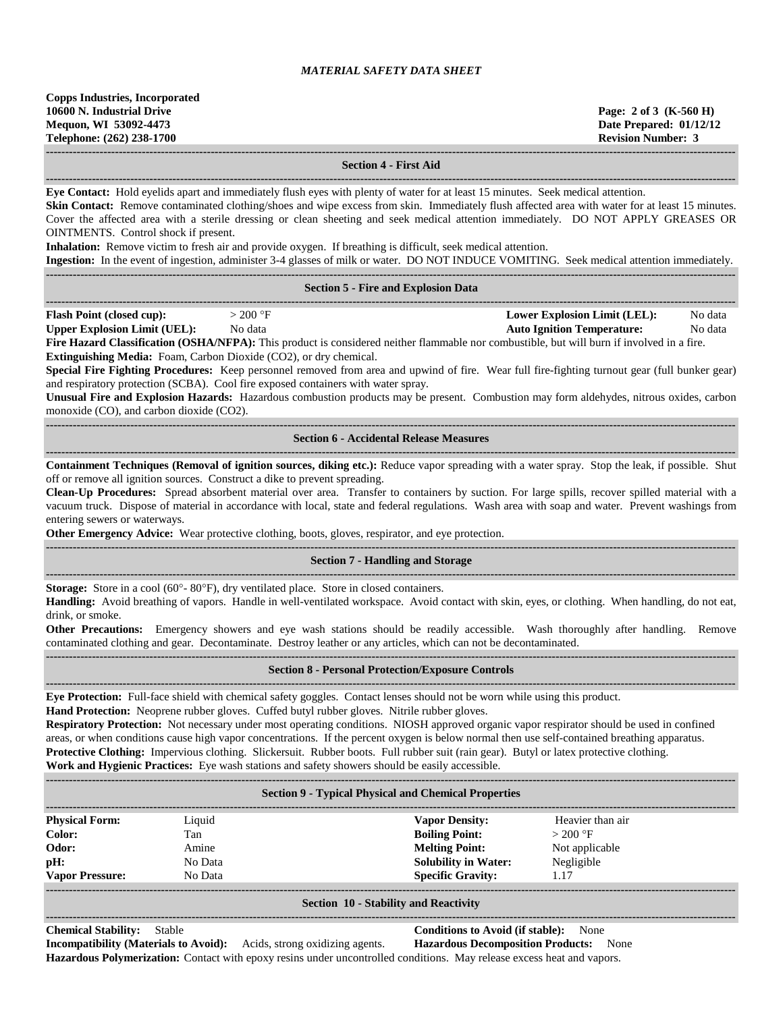**------------------------------------------------------------------------------------------------------------------------------------------------------------------------------------**

**------------------------------------------------------------------------------------------------------------------------------------------------------------------------------------**

### **Section 4 - First Aid**

**Eye Contact:** Hold eyelids apart and immediately flush eyes with plenty of water for at least 15 minutes. Seek medical attention.

**Skin Contact:** Remove contaminated clothing/shoes and wipe excess from skin. Immediately flush affected area with water for at least 15 minutes. Cover the affected area with a sterile dressing or clean sheeting and seek medical attention immediately. DO NOT APPLY GREASES OR OINTMENTS. Control shock if present.

**Inhalation:** Remove victim to fresh air and provide oxygen. If breathing is difficult, seek medical attention.

**Ingestion:** In the event of ingestion, administer 3-4 glasses of milk or water. DO NOT INDUCE VOMITING. Seek medical attention immediately.

|                                                                          |           |                                            | Ingestion: In the event of ingestion, administer 3-4 glasses of milk or water. DO NOT INDUCE VOMITING. Seek medical attention immediately.       |         |
|--------------------------------------------------------------------------|-----------|--------------------------------------------|--------------------------------------------------------------------------------------------------------------------------------------------------|---------|
|                                                                          |           |                                            |                                                                                                                                                  |         |
|                                                                          |           | <b>Section 5 - Fire and Explosion Data</b> |                                                                                                                                                  |         |
|                                                                          |           |                                            |                                                                                                                                                  |         |
| <b>Flash Point (closed cup):</b>                                         | $>200$ °F |                                            | <b>Lower Explosion Limit (LEL):</b>                                                                                                              | No data |
| <b>Upper Explosion Limit (UEL):</b>                                      | No data   |                                            | <b>Auto Ignition Temperature:</b>                                                                                                                | No data |
|                                                                          |           |                                            | Fire Hazard Classification (OSHA/NFPA): This product is considered neither flammable nor combustible, but will burn if involved in a fire.       |         |
| <b>Extinguishing Media:</b> Foam, Carbon Dioxide (CO2), or dry chemical. |           |                                            |                                                                                                                                                  |         |
|                                                                          |           |                                            | Concident Line Eighting Dropoduros: Keep personnel removed from area and unwind of fire. Wear full fire fighting turnout gear (full bunker gear) |         |

**Special Fire Fighting Procedures:** Keep personnel removed from area and upwind of fire. Wear full fire-fighting turnout gear (full bunker gear) and respiratory protection (SCBA). Cool fire exposed containers with water spray.

**Unusual Fire and Explosion Hazards:** Hazardous combustion products may be present. Combustion may form aldehydes, nitrous oxides, carbon monoxide (CO), and carbon dioxide (CO2).

### **------------------------------------------------------------------------------------------------------------------------------------------------------------------------------------ Section 6 - Accidental Release Measures**

**------------------------------------------------------------------------------------------------------------------------------------------------------------------------------------ Containment Techniques (Removal of ignition sources, diking etc.):** Reduce vapor spreading with a water spray. Stop the leak, if possible. Shut off or remove all ignition sources. Construct a dike to prevent spreading.

**Clean-Up Procedures:** Spread absorbent material over area. Transfer to containers by suction. For large spills, recover spilled material with a vacuum truck. Dispose of material in accordance with local, state and federal regulations. Wash area with soap and water. Prevent washings from entering sewers or waterways.

**Other Emergency Advice:** Wear protective clothing, boots, gloves, respirator, and eye protection.

**------------------------------------------------------------------------------------------------------------------------------------------------------------------------------------**

#### **Section 7 - Handling and Storage**

**------------------------------------------------------------------------------------------------------------------------------------------------------------------------------------ Storage:** Store in a cool (60°- 80°F), dry ventilated place. Store in closed containers.

**Handling:** Avoid breathing of vapors. Handle in well-ventilated workspace. Avoid contact with skin, eyes, or clothing. When handling, do not eat, drink, or smoke.

**Other Precautions:** Emergency showers and eye wash stations should be readily accessible. Wash thoroughly after handling. Remove contaminated clothing and gear. Decontaminate. Destroy leather or any articles, which can not be decontaminated. **------------------------------------------------------------------------------------------------------------------------------------------------------------------------------------**

#### **Section 8 - Personal Protection/Exposure Controls ------------------------------------------------------------------------------------------------------------------------------------------------------------------------------------**

**Eye Protection:** Full-face shield with chemical safety goggles. Contact lenses should not be worn while using this product. **Hand Protection:** Neoprene rubber gloves. Cuffed butyl rubber gloves. Nitrile rubber gloves.

**Respiratory Protection:** Not necessary under most operating conditions. NIOSH approved organic vapor respirator should be used in confined areas, or when conditions cause high vapor concentrations. If the percent oxygen is below normal then use self-contained breathing apparatus. **Protective Clothing:** Impervious clothing. Slickersuit. Rubber boots. Full rubber suit (rain gear). Butyl or latex protective clothing. **Work and Hygienic Practices:** Eye wash stations and safety showers should be easily accessible.

| <b>Section 9 - Typical Physical and Chemical Properties</b> |         |                             |                  |  |  |  |  |
|-------------------------------------------------------------|---------|-----------------------------|------------------|--|--|--|--|
| <b>Physical Form:</b>                                       | Liquid  | <b>Vapor Density:</b>       | Heavier than air |  |  |  |  |
| Color:                                                      | Tan     | <b>Boiling Point:</b>       | $>200$ °F        |  |  |  |  |
| Odor:                                                       | Amine   | <b>Melting Point:</b>       | Not applicable   |  |  |  |  |
| pH:                                                         | No Data | <b>Solubility in Water:</b> | Negligible       |  |  |  |  |
| <b>Vapor Pressure:</b>                                      | No Data | <b>Specific Gravity:</b>    | 1.17             |  |  |  |  |
|                                                             |         |                             |                  |  |  |  |  |

#### **Section 10 - Stability and Reactivity**

**Chemical Stability:** Stable **Conditions to Avoid (if stable):** None **Incompatibility (Materials to Avoid):** Acids, strong oxidizing agents. **Hazardous Decomposition Products:** None **Hazardous Polymerization:** Contact with epoxy resins under uncontrolled conditions. May release excess heat and vapors.

**------------------------------------------------------------------------------------------------------------------------------------------------------------------------------------**